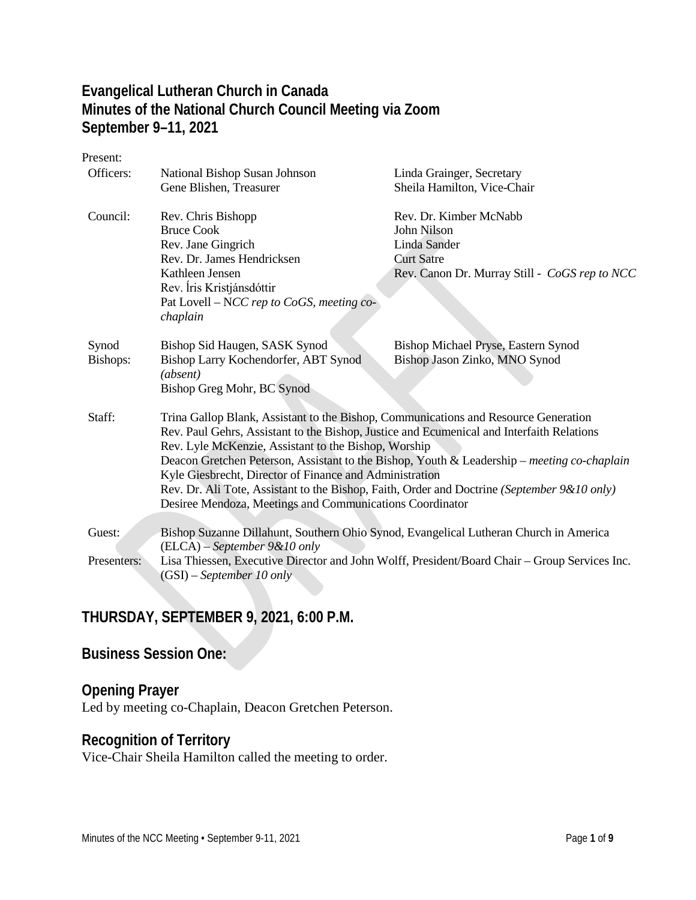### **Evangelical Lutheran Church in Canada Minutes of the National Church Council Meeting via Zoom September 9–11, 2021**

| Present:    |                                                                                                                                                   |                                               |  |
|-------------|---------------------------------------------------------------------------------------------------------------------------------------------------|-----------------------------------------------|--|
| Officers:   | National Bishop Susan Johnson                                                                                                                     | Linda Grainger, Secretary                     |  |
|             | Gene Blishen, Treasurer                                                                                                                           | Sheila Hamilton, Vice-Chair                   |  |
| Council:    | Rev. Chris Bishopp                                                                                                                                | Rev. Dr. Kimber McNabb                        |  |
|             | <b>Bruce Cook</b>                                                                                                                                 | John Nilson                                   |  |
|             | Rev. Jane Gingrich                                                                                                                                | Linda Sander                                  |  |
|             | Rev. Dr. James Hendricksen                                                                                                                        | <b>Curt Satre</b>                             |  |
|             | Kathleen Jensen                                                                                                                                   | Rev. Canon Dr. Murray Still - CoGS rep to NCC |  |
|             | Rev. Íris Kristjánsdóttir                                                                                                                         |                                               |  |
|             | Pat Lovell – NCC rep to CoGS, meeting co-                                                                                                         |                                               |  |
|             | chaplain                                                                                                                                          |                                               |  |
| Synod       | Bishop Sid Haugen, SASK Synod                                                                                                                     | Bishop Michael Pryse, Eastern Synod           |  |
| Bishops:    | Bishop Larry Kochendorfer, ABT Synod<br>(absent)                                                                                                  | Bishop Jason Zinko, MNO Synod                 |  |
|             | Bishop Greg Mohr, BC Synod                                                                                                                        |                                               |  |
| Staff:      | Trina Gallop Blank, Assistant to the Bishop, Communications and Resource Generation                                                               |                                               |  |
|             | Rev. Paul Gehrs, Assistant to the Bishop, Justice and Ecumenical and Interfaith Relations<br>Rev. Lyle McKenzie, Assistant to the Bishop, Worship |                                               |  |
|             | Deacon Gretchen Peterson, Assistant to the Bishop, Youth & Leadership – meeting co-chaplain                                                       |                                               |  |
|             | Kyle Giesbrecht, Director of Finance and Administration                                                                                           |                                               |  |
|             | Rev. Dr. Ali Tote, Assistant to the Bishop, Faith, Order and Doctrine (September 9&10 only)                                                       |                                               |  |
|             | Desiree Mendoza, Meetings and Communications Coordinator                                                                                          |                                               |  |
|             |                                                                                                                                                   |                                               |  |
| Guest:      | Bishop Suzanne Dillahunt, Southern Ohio Synod, Evangelical Lutheran Church in America                                                             |                                               |  |
|             | $(ELCA) - September 9&10$ only                                                                                                                    |                                               |  |
| Presenters: | Lisa Thiessen, Executive Director and John Wolff, President/Board Chair - Group Services Inc.<br>$(GSI)$ – September 10 only                      |                                               |  |

### **THURSDAY, SEPTEMBER 9, 2021, 6:00 P.M.**

### **Business Session One:**

#### **Opening Prayer**

Led by meeting co-Chaplain, Deacon Gretchen Peterson.

### **Recognition of Territory**

Vice-Chair Sheila Hamilton called the meeting to order.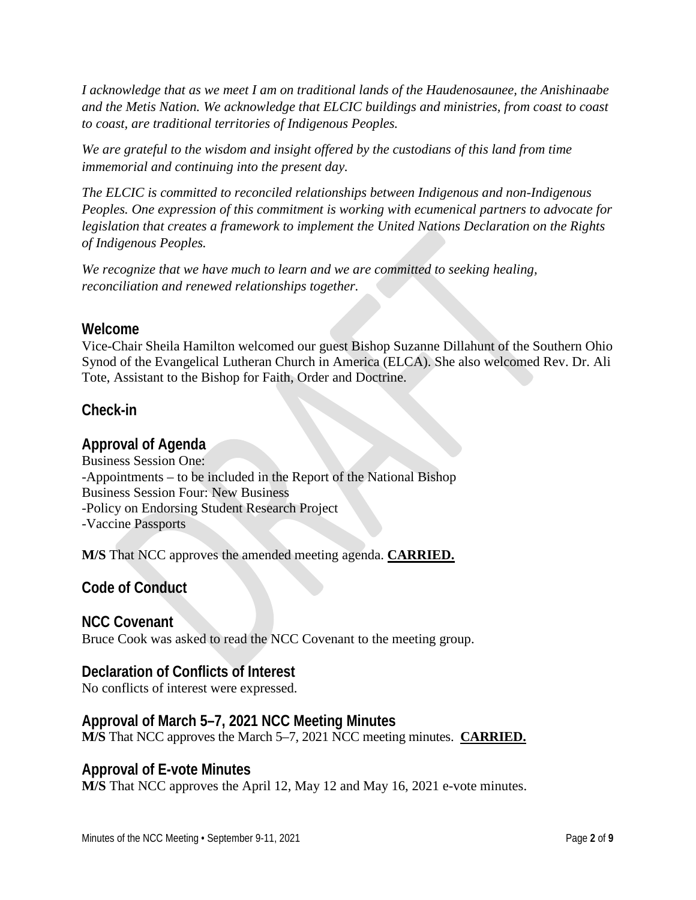*I acknowledge that as we meet I am on traditional lands of the Haudenosaunee, the Anishinaabe and the Metis Nation. We acknowledge that ELCIC buildings and ministries, from coast to coast to coast, are traditional territories of Indigenous Peoples.*

*We are grateful to the wisdom and insight offered by the custodians of this land from time immemorial and continuing into the present day.*

*The ELCIC is committed to reconciled relationships between Indigenous and non-Indigenous Peoples. One expression of this commitment is working with ecumenical partners to advocate for legislation that creates a framework to implement the United Nations Declaration on the Rights of Indigenous Peoples.*

*We recognize that we have much to learn and we are committed to seeking healing, reconciliation and renewed relationships together.*

#### **Welcome**

Vice-Chair Sheila Hamilton welcomed our guest Bishop Suzanne Dillahunt of the Southern Ohio Synod of the Evangelical Lutheran Church in America (ELCA). She also welcomed Rev. Dr. Ali Tote, Assistant to the Bishop for Faith, Order and Doctrine.

#### **Check-in**

#### **Approval of Agenda**

Business Session One: -Appointments – to be included in the Report of the National Bishop Business Session Four: New Business -Policy on Endorsing Student Research Project -Vaccine Passports

**M/S** That NCC approves the amended meeting agenda. **CARRIED.**

#### **Code of Conduct**

#### **NCC Covenant**

Bruce Cook was asked to read the NCC Covenant to the meeting group.

#### **Declaration of Conflicts of Interest**

No conflicts of interest were expressed.

#### **Approval of March 5–7, 2021 NCC Meeting Minutes**

**M/S** That NCC approves the March 5–7, 2021 NCC meeting minutes. **CARRIED.**

#### **Approval of E-vote Minutes**

**M/S** That NCC approves the April 12, May 12 and May 16, 2021 e-vote minutes.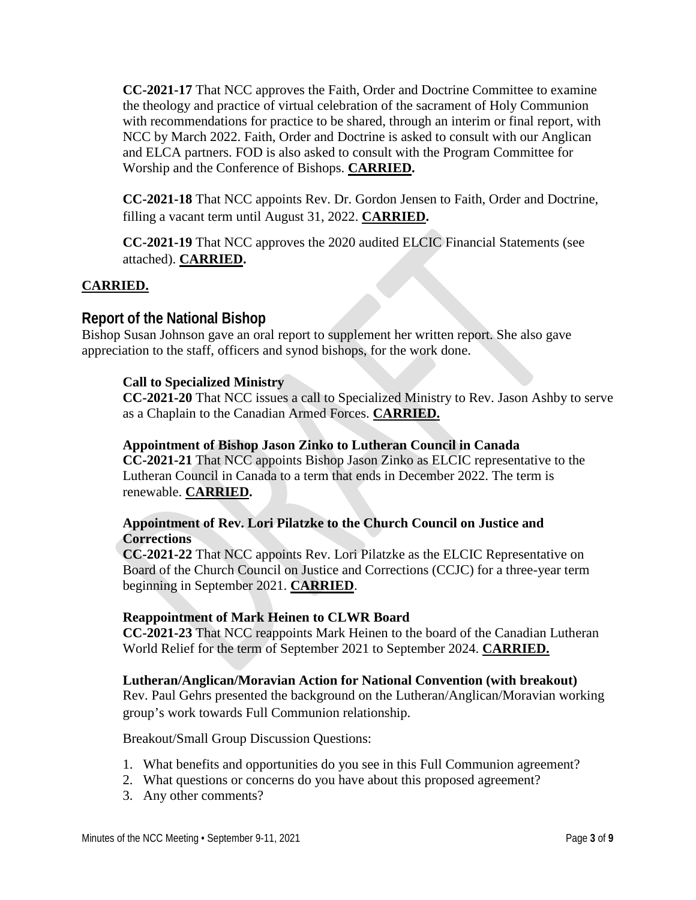**CC-2021-17** That NCC approves the Faith, Order and Doctrine Committee to examine the theology and practice of virtual celebration of the sacrament of Holy Communion with recommendations for practice to be shared, through an interim or final report, with NCC by March 2022. Faith, Order and Doctrine is asked to consult with our Anglican and ELCA partners. FOD is also asked to consult with the Program Committee for Worship and the Conference of Bishops. **CARRIED.**

**CC-2021-18** That NCC appoints Rev. Dr. Gordon Jensen to Faith, Order and Doctrine, filling a vacant term until August 31, 2022. **CARRIED.**

**CC-2021-19** That NCC approves the 2020 audited ELCIC Financial Statements (see attached). **CARRIED.**

#### **CARRIED.**

#### **Report of the National Bishop**

Bishop Susan Johnson gave an oral report to supplement her written report. She also gave appreciation to the staff, officers and synod bishops, for the work done.

#### **Call to Specialized Ministry**

**CC-2021-20** That NCC issues a call to Specialized Ministry to Rev. Jason Ashby to serve as a Chaplain to the Canadian Armed Forces. **CARRIED.**

#### **Appointment of Bishop Jason Zinko to Lutheran Council in Canada**

**CC-2021-21** That NCC appoints Bishop Jason Zinko as ELCIC representative to the Lutheran Council in Canada to a term that ends in December 2022. The term is renewable. **CARRIED.**

#### **Appointment of Rev. Lori Pilatzke to the Church Council on Justice and Corrections**

**CC-2021-22** That NCC appoints Rev. Lori Pilatzke as the ELCIC Representative on Board of the Church Council on Justice and Corrections (CCJC) for a three-year term beginning in September 2021. **CARRIED**.

#### **Reappointment of Mark Heinen to CLWR Board**

**CC-2021-23** That NCC reappoints Mark Heinen to the board of the Canadian Lutheran World Relief for the term of September 2021 to September 2024. **CARRIED.**

#### **Lutheran/Anglican/Moravian Action for National Convention (with breakout)**

Rev. Paul Gehrs presented the background on the Lutheran/Anglican/Moravian working group's work towards Full Communion relationship.

Breakout/Small Group Discussion Questions:

- 1. What benefits and opportunities do you see in this Full Communion agreement?
- 2. What questions or concerns do you have about this proposed agreement?
- 3. Any other comments?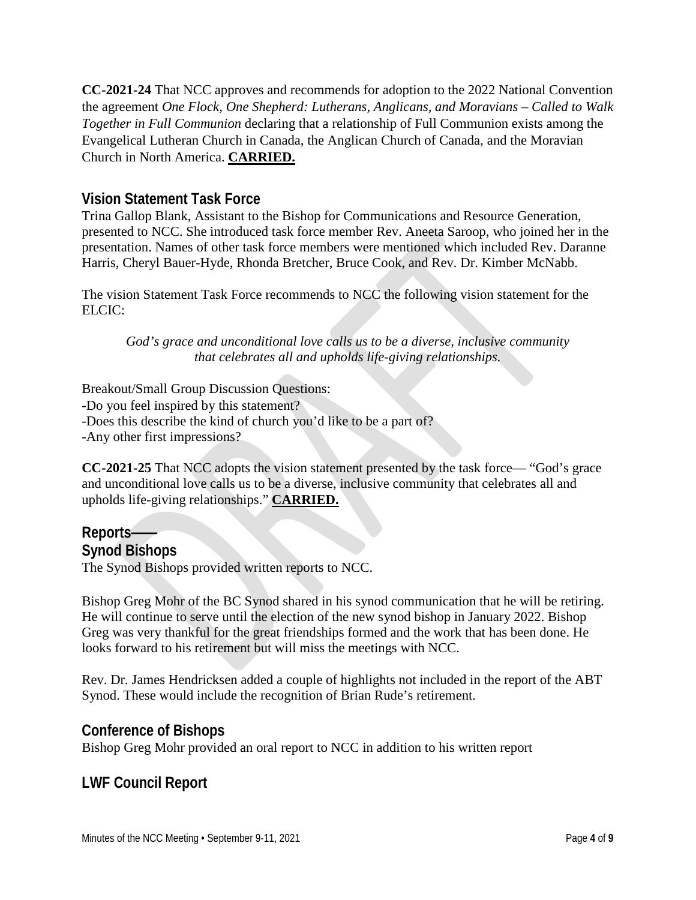**CC-2021-24** That NCC approves and recommends for adoption to the 2022 National Convention the agreement *One Flock, One Shepherd: Lutherans, Anglicans, and Moravians – Called to Walk Together in Full Communion* declaring that a relationship of Full Communion exists among the Evangelical Lutheran Church in Canada, the Anglican Church of Canada, and the Moravian Church in North America. **CARRIED.**

### **Vision Statement Task Force**

Trina Gallop Blank, Assistant to the Bishop for Communications and Resource Generation, presented to NCC. She introduced task force member Rev. Aneeta Saroop, who joined her in the presentation. Names of other task force members were mentioned which included Rev. Daranne Harris, Cheryl Bauer-Hyde, Rhonda Bretcher, Bruce Cook, and Rev. Dr. Kimber McNabb.

The vision Statement Task Force recommends to NCC the following vision statement for the ELCIC:

*God's grace and unconditional love calls us to be a diverse, inclusive community that celebrates all and upholds life-giving relationships.*

Breakout/Small Group Discussion Questions: -Do you feel inspired by this statement? -Does this describe the kind of church you'd like to be a part of? -Any other first impressions?

**CC-2021-25** That NCC adopts the vision statement presented by the task force— "God's grace and unconditional love calls us to be a diverse, inclusive community that celebrates all and upholds life-giving relationships." **CARRIED.**

## **Reports——**

**Synod Bishops**

The Synod Bishops provided written reports to NCC.

Bishop Greg Mohr of the BC Synod shared in his synod communication that he will be retiring. He will continue to serve until the election of the new synod bishop in January 2022. Bishop Greg was very thankful for the great friendships formed and the work that has been done. He looks forward to his retirement but will miss the meetings with NCC.

Rev. Dr. James Hendricksen added a couple of highlights not included in the report of the ABT Synod. These would include the recognition of Brian Rude's retirement.

#### **Conference of Bishops**

Bishop Greg Mohr provided an oral report to NCC in addition to his written report

### **LWF Council Report**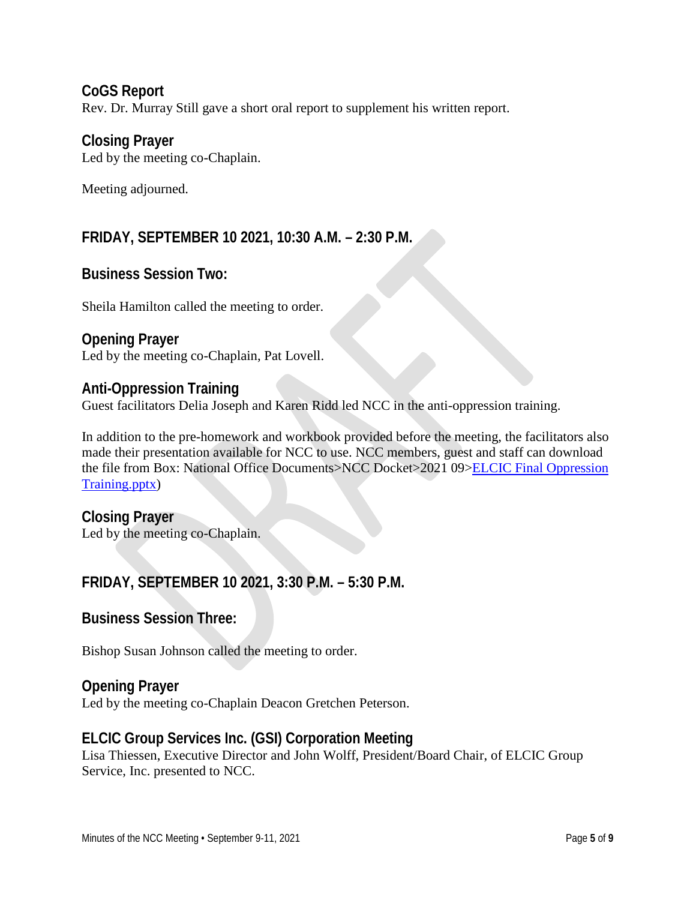**CoGS Report** Rev. Dr. Murray Still gave a short oral report to supplement his written report.

### **Closing Prayer**

Led by the meeting co-Chaplain.

Meeting adjourned.

### **FRIDAY, SEPTEMBER 10 2021, 10:30 A.M. – 2:30 P.M.**

### **Business Session Two:**

Sheila Hamilton called the meeting to order.

### **Opening Prayer**

Led by the meeting co-Chaplain, Pat Lovell.

### **Anti-Oppression Training**

Guest facilitators Delia Joseph and Karen Ridd led NCC in the anti-oppression training.

In addition to the pre-homework and workbook provided before the meeting, the facilitators also made their presentation available for NCC to use. NCC members, guest and staff can download the file from Box: National Office Documents>NCC Docket>2021 09[>ELCIC Final Oppression](https://elcic.app.box.com/s/ehsgg83cmm8t7wq9d71ohfp1p1ech8gy)  [Training.pptx\)](https://elcic.app.box.com/s/ehsgg83cmm8t7wq9d71ohfp1p1ech8gy)

### **Closing Prayer**

Led by the meeting co-Chaplain.

### **FRIDAY, SEPTEMBER 10 2021, 3:30 P.M. – 5:30 P.M.**

#### **Business Session Three:**

Bishop Susan Johnson called the meeting to order.

#### **Opening Prayer**

Led by the meeting co-Chaplain Deacon Gretchen Peterson.

### **ELCIC Group Services Inc. (GSI) Corporation Meeting**

Lisa Thiessen, Executive Director and John Wolff, President/Board Chair, of ELCIC Group Service, Inc. presented to NCC.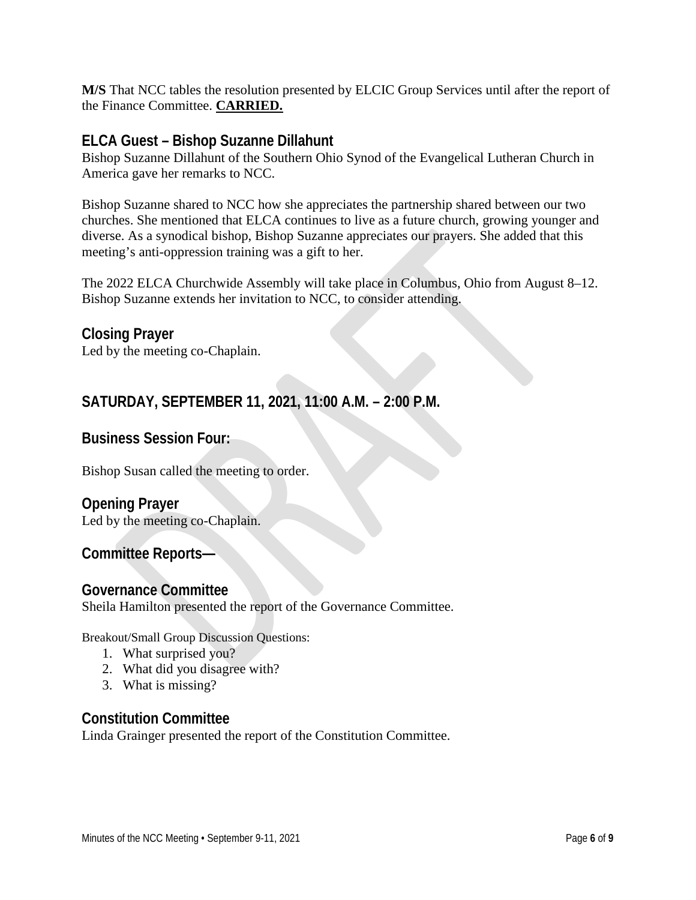**M/S** That NCC tables the resolution presented by ELCIC Group Services until after the report of the Finance Committee. **CARRIED.**

#### **ELCA Guest – Bishop Suzanne Dillahunt**

Bishop Suzanne Dillahunt of the Southern Ohio Synod of the Evangelical Lutheran Church in America gave her remarks to NCC.

Bishop Suzanne shared to NCC how she appreciates the partnership shared between our two churches. She mentioned that ELCA continues to live as a future church, growing younger and diverse. As a synodical bishop, Bishop Suzanne appreciates our prayers. She added that this meeting's anti-oppression training was a gift to her.

The 2022 ELCA Churchwide Assembly will take place in Columbus, Ohio from August 8–12. Bishop Suzanne extends her invitation to NCC, to consider attending.

**Closing Prayer** Led by the meeting co-Chaplain.

### **SATURDAY, SEPTEMBER 11, 2021, 11:00 A.M. – 2:00 P.M.**

#### **Business Session Four:**

Bishop Susan called the meeting to order.

### **Opening Prayer**

Led by the meeting co-Chaplain.

**Committee Reports—**

#### **Governance Committee**

Sheila Hamilton presented the report of the Governance Committee.

Breakout/Small Group Discussion Questions:

- 1. What surprised you?
- 2. What did you disagree with?
- 3. What is missing?

#### **Constitution Committee**

Linda Grainger presented the report of the Constitution Committee.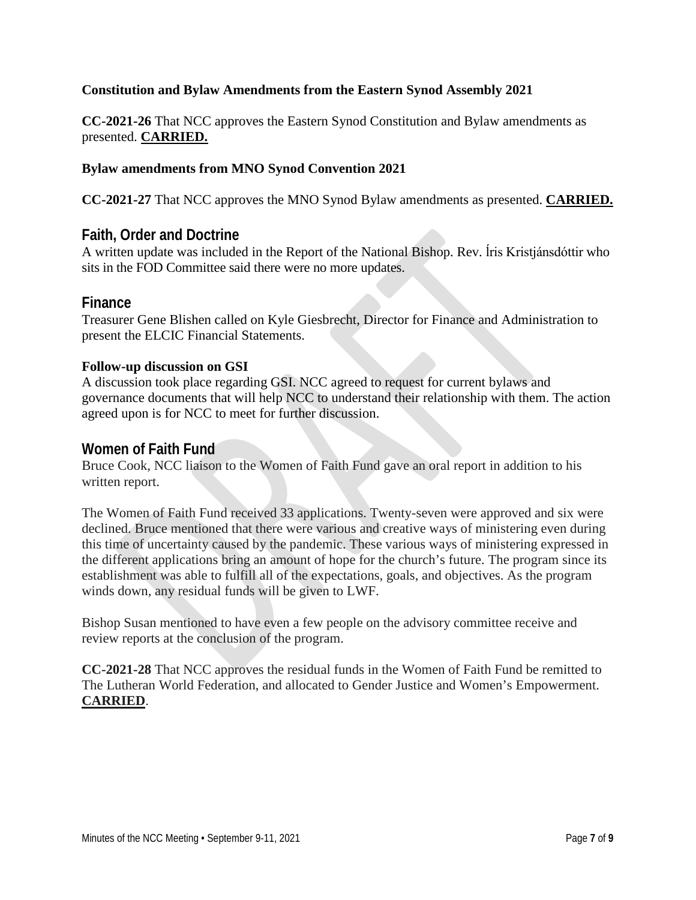#### **Constitution and Bylaw Amendments from the Eastern Synod Assembly 2021**

**CC-2021-26** That NCC approves the Eastern Synod Constitution and Bylaw amendments as presented. **CARRIED.**

#### **Bylaw amendments from MNO Synod Convention 2021**

**CC-2021-27** That NCC approves the MNO Synod Bylaw amendments as presented. **CARRIED.**

#### **Faith, Order and Doctrine**

A written update was included in the Report of the National Bishop. Rev. ĺris Kristjánsdóttir who sits in the FOD Committee said there were no more updates.

#### **Finance**

Treasurer Gene Blishen called on Kyle Giesbrecht, Director for Finance and Administration to present the ELCIC Financial Statements.

#### **Follow-up discussion on GSI**

A discussion took place regarding GSI. NCC agreed to request for current bylaws and governance documents that will help NCC to understand their relationship with them. The action agreed upon is for NCC to meet for further discussion.

#### **Women of Faith Fund**

Bruce Cook, NCC liaison to the Women of Faith Fund gave an oral report in addition to his written report.

The Women of Faith Fund received 33 applications. Twenty-seven were approved and six were declined. Bruce mentioned that there were various and creative ways of ministering even during this time of uncertainty caused by the pandemic. These various ways of ministering expressed in the different applications bring an amount of hope for the church's future. The program since its establishment was able to fulfill all of the expectations, goals, and objectives. As the program winds down, any residual funds will be given to LWF.

Bishop Susan mentioned to have even a few people on the advisory committee receive and review reports at the conclusion of the program.

**CC-2021-28** That NCC approves the residual funds in the Women of Faith Fund be remitted to The Lutheran World Federation, and allocated to Gender Justice and Women's Empowerment. **CARRIED**.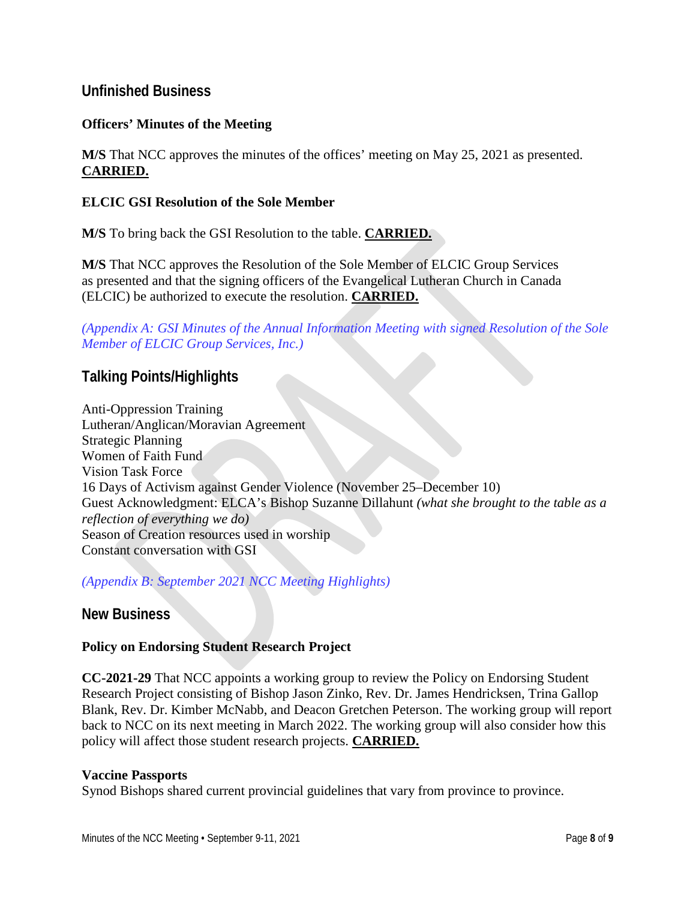#### **Unfinished Business**

#### **Officers' Minutes of the Meeting**

**M/S** That NCC approves the minutes of the offices' meeting on May 25, 2021 as presented. **CARRIED.**

#### **ELCIC GSI Resolution of the Sole Member**

**M/S** To bring back the GSI Resolution to the table. **CARRIED.**

**M/S** That NCC approves the Resolution of the Sole Member of ELCIC Group Services as presented and that the signing officers of the Evangelical Lutheran Church in Canada (ELCIC) be authorized to execute the resolution. **CARRIED.**

*(Appendix A: GSI Minutes of the Annual Information Meeting with signed Resolution of the Sole Member of ELCIC Group Services, Inc.)*

### **Talking Points/Highlights**

Anti-Oppression Training Lutheran/Anglican/Moravian Agreement Strategic Planning Women of Faith Fund Vision Task Force 16 Days of Activism against Gender Violence (November 25–December 10) Guest Acknowledgment: ELCA's Bishop Suzanne Dillahunt *(what she brought to the table as a reflection of everything we do)* Season of Creation resources used in worship Constant conversation with GSI

#### *(Appendix B: September 2021 NCC Meeting Highlights)*

**New Business**

#### **Policy on Endorsing Student Research Project**

**CC-2021-29** That NCC appoints a working group to review the Policy on Endorsing Student Research Project consisting of Bishop Jason Zinko, Rev. Dr. James Hendricksen, Trina Gallop Blank, Rev. Dr. Kimber McNabb, and Deacon Gretchen Peterson. The working group will report back to NCC on its next meeting in March 2022. The working group will also consider how this policy will affect those student research projects. **CARRIED.**

#### **Vaccine Passports**

Synod Bishops shared current provincial guidelines that vary from province to province.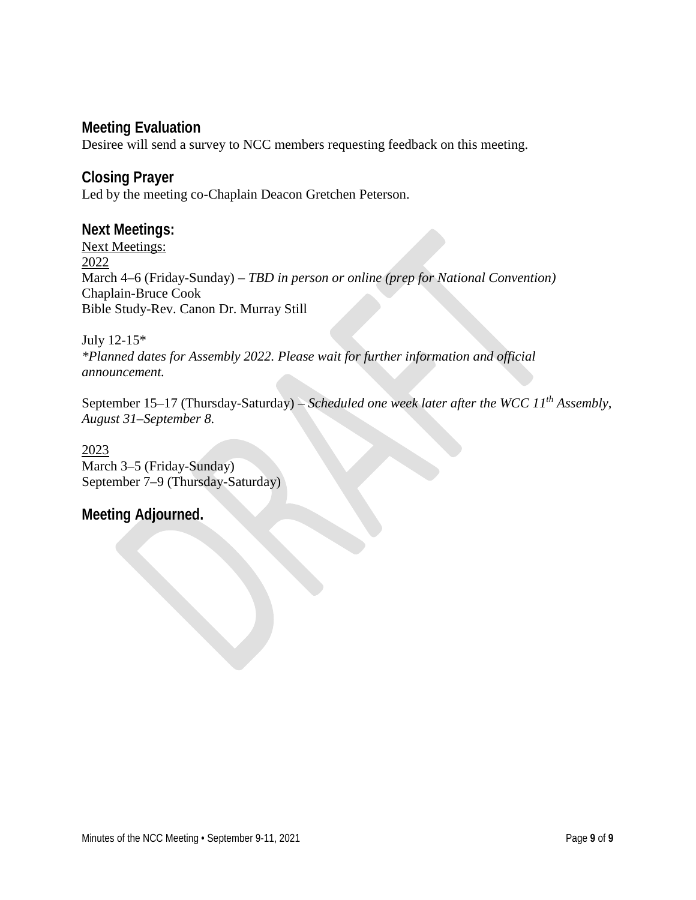### **Meeting Evaluation**

Desiree will send a survey to NCC members requesting feedback on this meeting.

### **Closing Prayer**

Led by the meeting co-Chaplain Deacon Gretchen Peterson.

#### **Next Meetings:**

Next Meetings: 2022 March 4–6 (Friday-Sunday) – *TBD in person or online (prep for National Convention)* Chaplain-Bruce Cook Bible Study-Rev. Canon Dr. Murray Still

July 12-15\* *\*Planned dates for Assembly 2022. Please wait for further information and official announcement.* 

September 15–17 (Thursday-Saturday) – *Scheduled one week later after the WCC 11th Assembly, August 31–September 8.*

#### 2023 March 3–5 (Friday-Sunday) September 7–9 (Thursday-Saturday)

#### **Meeting Adjourned.**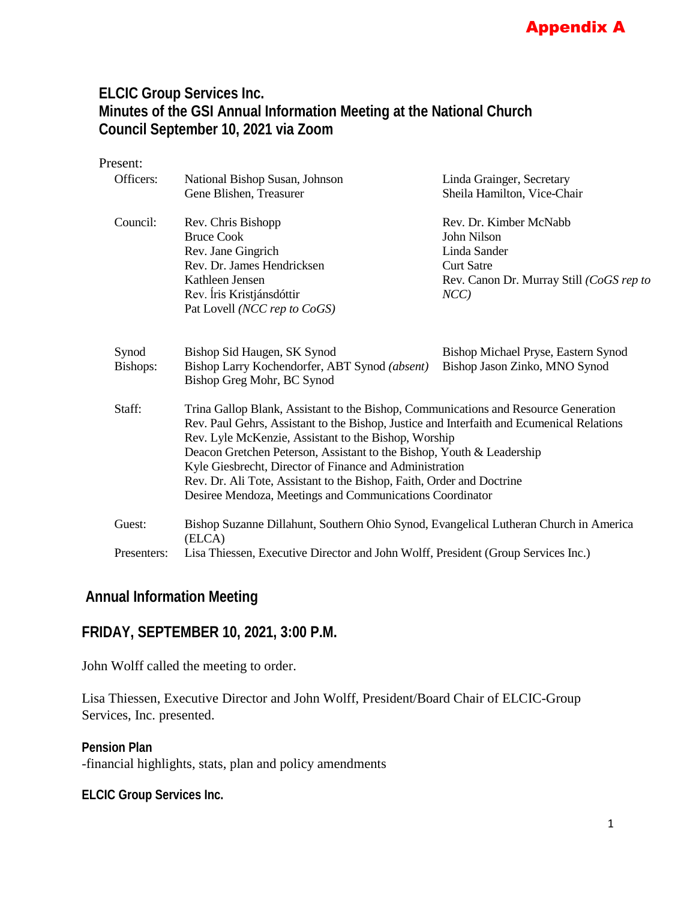### Appendix A

### **ELCIC Group Services Inc. Minutes of the GSI Annual Information Meeting at the National Church Council September 10, 2021 via Zoom**

| Present:    |                                                                                                                                                                                                                                          |                                          |  |
|-------------|------------------------------------------------------------------------------------------------------------------------------------------------------------------------------------------------------------------------------------------|------------------------------------------|--|
| Officers:   | National Bishop Susan, Johnson                                                                                                                                                                                                           | Linda Grainger, Secretary                |  |
|             | Gene Blishen, Treasurer                                                                                                                                                                                                                  | Sheila Hamilton, Vice-Chair              |  |
| Council:    | Rev. Chris Bishopp                                                                                                                                                                                                                       | Rev. Dr. Kimber McNabb                   |  |
|             | <b>Bruce Cook</b>                                                                                                                                                                                                                        | John Nilson                              |  |
|             | Rev. Jane Gingrich                                                                                                                                                                                                                       | Linda Sander                             |  |
|             | Rev. Dr. James Hendricksen                                                                                                                                                                                                               | <b>Curt Satre</b>                        |  |
|             | Kathleen Jensen                                                                                                                                                                                                                          | Rev. Canon Dr. Murray Still (CoGS rep to |  |
|             | Rev. Íris Kristjánsdóttir                                                                                                                                                                                                                | $NCC$ )                                  |  |
|             | Pat Lovell (NCC rep to CoGS)                                                                                                                                                                                                             |                                          |  |
| Synod       | Bishop Sid Haugen, SK Synod                                                                                                                                                                                                              | Bishop Michael Pryse, Eastern Synod      |  |
| Bishops:    | Bishop Larry Kochendorfer, ABT Synod (absent)<br>Bishop Greg Mohr, BC Synod                                                                                                                                                              | Bishop Jason Zinko, MNO Synod            |  |
| Staff:      | Trina Gallop Blank, Assistant to the Bishop, Communications and Resource Generation<br>Rev. Paul Gehrs, Assistant to the Bishop, Justice and Interfaith and Ecumenical Relations<br>Rev. Lyle McKenzie, Assistant to the Bishop, Worship |                                          |  |
|             | Deacon Gretchen Peterson, Assistant to the Bishop, Youth & Leadership                                                                                                                                                                    |                                          |  |
|             | Kyle Giesbrecht, Director of Finance and Administration                                                                                                                                                                                  |                                          |  |
|             | Rev. Dr. Ali Tote, Assistant to the Bishop, Faith, Order and Doctrine                                                                                                                                                                    |                                          |  |
|             | Desiree Mendoza, Meetings and Communications Coordinator                                                                                                                                                                                 |                                          |  |
| Guest:      | Bishop Suzanne Dillahunt, Southern Ohio Synod, Evangelical Lutheran Church in America<br>(ELCA)                                                                                                                                          |                                          |  |
| Presenters: | Lisa Thiessen, Executive Director and John Wolff, President (Group Services Inc.)                                                                                                                                                        |                                          |  |

### **Annual Information Meeting**

#### **FRIDAY, SEPTEMBER 10, 2021, 3:00 P.M.**

John Wolff called the meeting to order.

Lisa Thiessen, Executive Director and John Wolff, President/Board Chair of ELCIC-Group Services, Inc. presented.

#### **Pension Plan**

-financial highlights, stats, plan and policy amendments

**ELCIC Group Services Inc.**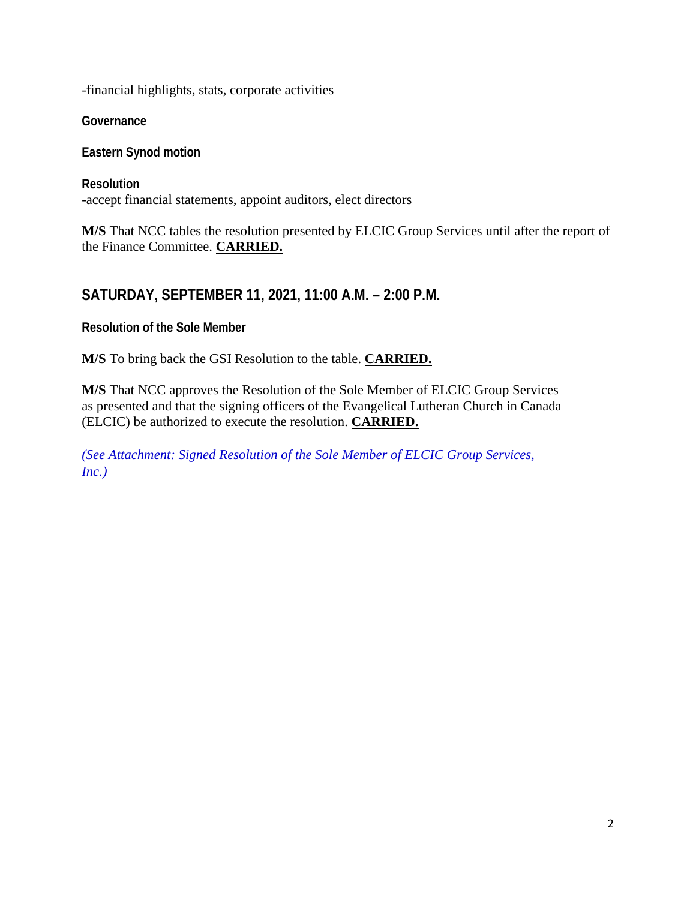-financial highlights, stats, corporate activities

**Governance**

**Eastern Synod motion**

**Resolution** -accept financial statements, appoint auditors, elect directors

**M/S** That NCC tables the resolution presented by ELCIC Group Services until after the report of the Finance Committee. **CARRIED.**

### **SATURDAY, SEPTEMBER 11, 2021, 11:00 A.M. – 2:00 P.M.**

**Resolution of the Sole Member**

**M/S** To bring back the GSI Resolution to the table. **CARRIED.**

**M/S** That NCC approves the Resolution of the Sole Member of ELCIC Group Services as presented and that the signing officers of the Evangelical Lutheran Church in Canada (ELCIC) be authorized to execute the resolution. **CARRIED.**

*(See Attachment: Signed Resolution of the Sole Member of ELCIC Group Services, Inc.)*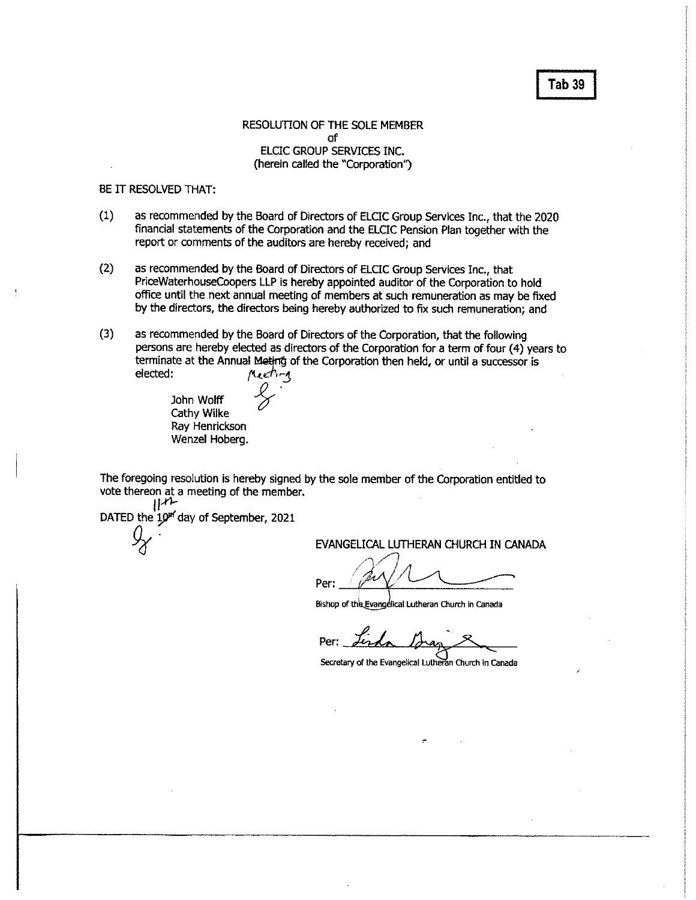#### Tab<sub>39</sub>

#### RESOLUTION OF THE SOLE MEMBER of ELCIC GROUP SERVICES INC. (herein called the "Corporation")

#### BE IT RESOLVED THAT:

- as recommended by the Board of Directors of ELCIC Group Services Inc., that the 2020  $(1)$ financial statements of the Corporation and the ELCIC Pension Plan together with the report or comments of the auditors are hereby received; and
- $(2)$ as recommended by the Board of Directors of ELCIC Group Services Inc., that PriceWaterhouseCoopers LLP is hereby appointed auditor of the Corporation to hold office until the next annual meeting of members at such remuneration as may be fixed by the directors, the directors being hereby authorized to fix such remuneration; and
- $(3)$ as recommended by the Board of Directors of the Corporation, that the following persons are hereby elected as directors of the Corporation for a term of four (4) years to terminate at the Annual Meting of the Corporation then held, or until a successor is elected: Meeting

John Wolff Cathy Wilke Ray Henrickson Wenzel Hoberg,

The foregoing resolution is hereby signed by the sole member of the Corporation entitled to vote thereon at a meeting of the member.  $\mathbb{H}$ 

DATED the 10<sup>th</sup> day of September, 2021

EVANGELICAL LUTHERAN CHURCH IN CANADA

Per:

Bishop of this Evangelical Lutheran Church in Canada

Per:

Secretary of the Evangelical Lutheran Church in Canada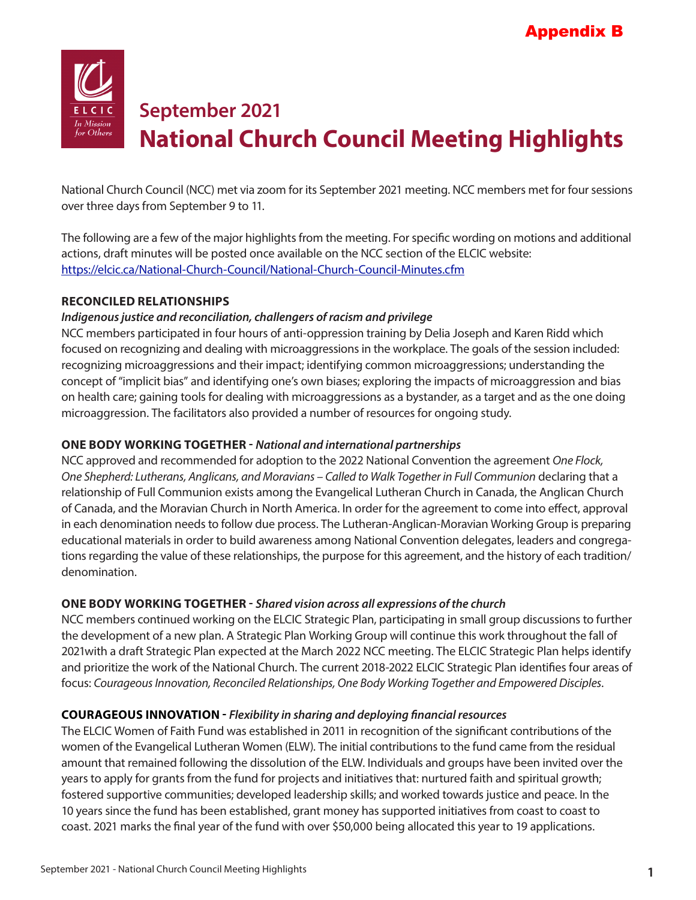

# **September 2021 National Church Council Meeting Highlights**

National Church Council (NCC) met via zoom for its September 2021 meeting. NCC members met for four sessions over three days from September 9 to 11.

The following are a few of the major highlights from the meeting. For specific wording on motions and additional actions, draft minutes will be posted once available on the NCC section of the ELCIC website: https://elcic.ca/National-Church-Council/National-Church-Council-Minutes.cfm

#### **RECONCILED RELATIONSHIPS**

#### *Indigenous justice and reconciliation, challengers of racism and privilege*

NCC members participated in four hours of anti-oppression training by Delia Joseph and Karen Ridd which focused on recognizing and dealing with microaggressions in the workplace. The goals of the session included: recognizing microaggressions and their impact; identifying common microaggressions; understanding the concept of "implicit bias" and identifying one's own biases; exploring the impacts of microaggression and bias on health care; gaining tools for dealing with microaggressions as a bystander, as a target and as the one doing microaggression. The facilitators also provided a number of resources for ongoing study.

#### **ONE BODY WORKING TOGETHER -** *National and international partnerships*

NCC approved and recommended for adoption to the 2022 National Convention the agreement *One Flock, One Shepherd: Lutherans, Anglicans, and Moravians – Called to Walk Together in Full Communion* declaring that a relationship of Full Communion exists among the Evangelical Lutheran Church in Canada, the Anglican Church of Canada, and the Moravian Church in North America. In order for the agreement to come into effect, approval in each denomination needs to follow due process. The Lutheran-Anglican-Moravian Working Group is preparing educational materials in order to build awareness among National Convention delegates, leaders and congregations regarding the value of these relationships, the purpose for this agreement, and the history of each tradition/ denomination.

#### **ONE BODY WORKING TOGETHER -** *Shared vision across all expressions of the church*

NCC members continued working on the ELCIC Strategic Plan, participating in small group discussions to further the development of a new plan. A Strategic Plan Working Group will continue this work throughout the fall of 2021with a draft Strategic Plan expected at the March 2022 NCC meeting. The ELCIC Strategic Plan helps identify and prioritize the work of the National Church. The current 2018-2022 ELCIC Strategic Plan identifies four areas of focus: *Courageous Innovation, Reconciled Relationships, One Body Working Together and Empowered Disciples*.

#### **COURAGEOUS INNOVATION -** *Flexibility in sharing and deploying financial resources*

The ELCIC Women of Faith Fund was established in 2011 in recognition of the significant contributions of the women of the Evangelical Lutheran Women (ELW). The initial contributions to the fund came from the residual amount that remained following the dissolution of the ELW. Individuals and groups have been invited over the years to apply for grants from the fund for projects and initiatives that: nurtured faith and spiritual growth; fostered supportive communities; developed leadership skills; and worked towards justice and peace. In the 10 years since the fund has been established, grant money has supported initiatives from coast to coast to coast. 2021 marks the final year of the fund with over \$50,000 being allocated this year to 19 applications.